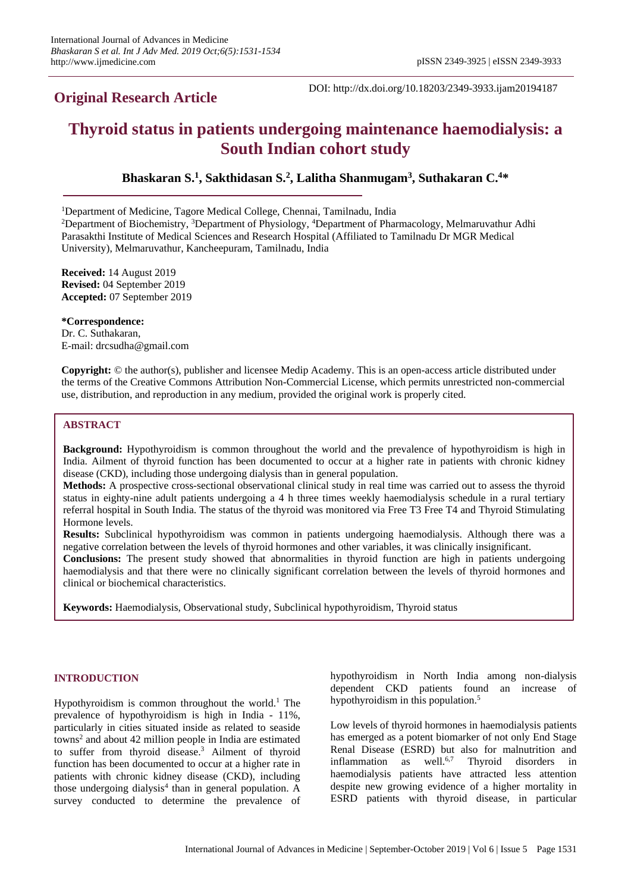# **Original Research Article**

DOI: http://dx.doi.org/10.18203/2349-3933.ijam20194187

# **Thyroid status in patients undergoing maintenance haemodialysis: a South Indian cohort study**

**Bhaskaran S.<sup>1</sup> , Sakthidasan S.<sup>2</sup> , Lalitha Shanmugam<sup>3</sup> , Suthakaran C.<sup>4</sup>\***

<sup>1</sup>Department of Medicine, Tagore Medical College, Chennai, Tamilnadu, India

<sup>2</sup>Department of Biochemistry, <sup>3</sup>Department of Physiology, <sup>4</sup>Department of Pharmacology, Melmaruvathur Adhi Parasakthi Institute of Medical Sciences and Research Hospital (Affiliated to Tamilnadu Dr MGR Medical University), Melmaruvathur, Kancheepuram, Tamilnadu, India

**Received:** 14 August 2019 **Revised:** 04 September 2019 **Accepted:** 07 September 2019

**\*Correspondence:** Dr. C. Suthakaran, E-mail: drcsudha@gmail.com

**Copyright:** © the author(s), publisher and licensee Medip Academy. This is an open-access article distributed under the terms of the Creative Commons Attribution Non-Commercial License, which permits unrestricted non-commercial use, distribution, and reproduction in any medium, provided the original work is properly cited.

# **ABSTRACT**

**Background:** Hypothyroidism is common throughout the world and the prevalence of hypothyroidism is high in India. Ailment of thyroid function has been documented to occur at a higher rate in patients with chronic kidney disease (CKD), including those undergoing dialysis than in general population.

**Methods:** A prospective cross-sectional observational clinical study in real time was carried out to assess the thyroid status in eighty-nine adult patients undergoing a 4 h three times weekly haemodialysis schedule in a rural tertiary referral hospital in South India. The status of the thyroid was monitored via Free T3 Free T4 and Thyroid Stimulating Hormone levels.

**Results:** Subclinical hypothyroidism was common in patients undergoing haemodialysis. Although there was a negative correlation between the levels of thyroid hormones and other variables, it was clinically insignificant.

**Conclusions:** The present study showed that abnormalities in thyroid function are high in patients undergoing haemodialysis and that there were no clinically significant correlation between the levels of thyroid hormones and clinical or biochemical characteristics.

**Keywords:** Haemodialysis, Observational study, Subclinical hypothyroidism, Thyroid status

## **INTRODUCTION**

Hypothyroidism is common throughout the world.<sup>1</sup> The prevalence of hypothyroidism is high in India - 11%, particularly in cities situated inside as related to seaside towns<sup>2</sup> and about 42 million people in India are estimated to suffer from thyroid disease.<sup>3</sup> Ailment of thyroid function has been documented to occur at a higher rate in patients with chronic kidney disease (CKD), including those undergoing dialysis<sup>4</sup> than in general population. A survey conducted to determine the prevalence of hypothyroidism in North India among non-dialysis dependent CKD patients found an increase of hypothyroidism in this population.<sup>5</sup>

Low levels of thyroid hormones in haemodialysis patients has emerged as a potent biomarker of not only End Stage Renal Disease (ESRD) but also for malnutrition and inflammation as well.<sup>6,7</sup> Thyroid disorders in haemodialysis patients have attracted less attention despite new growing evidence of a higher mortality in ESRD patients with thyroid disease, in particular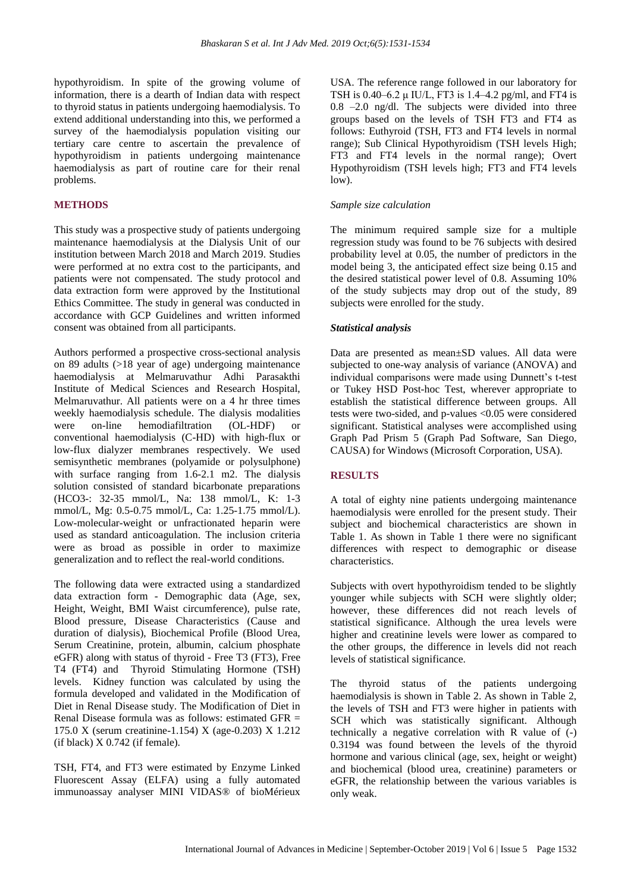hypothyroidism. In spite of the growing volume of information, there is a dearth of Indian data with respect to thyroid status in patients undergoing haemodialysis. To extend additional understanding into this, we performed a survey of the haemodialysis population visiting our tertiary care centre to ascertain the prevalence of hypothyroidism in patients undergoing maintenance haemodialysis as part of routine care for their renal problems.

### **METHODS**

This study was a prospective study of patients undergoing maintenance haemodialysis at the Dialysis Unit of our institution between March 2018 and March 2019. Studies were performed at no extra cost to the participants, and patients were not compensated. The study protocol and data extraction form were approved by the Institutional Ethics Committee. The study in general was conducted in accordance with GCP Guidelines and written informed consent was obtained from all participants.

Authors performed a prospective cross-sectional analysis on 89 adults (>18 year of age) undergoing maintenance haemodialysis at Melmaruvathur Adhi Parasakthi Institute of Medical Sciences and Research Hospital, Melmaruvathur. All patients were on a 4 hr three times weekly haemodialysis schedule. The dialysis modalities were on-line hemodiafiltration (OL-HDF) or conventional haemodialysis (C-HD) with high-flux or low-flux dialyzer membranes respectively. We used semisynthetic membranes (polyamide or polysulphone) with surface ranging from 1.6-2.1 m2. The dialysis solution consisted of standard bicarbonate preparations (HCO3-: 32-35 mmol/L, Na: 138 mmol/L, K: 1-3 mmol/L, Mg: 0.5-0.75 mmol/L, Ca: 1.25-1.75 mmol/L). Low-molecular-weight or unfractionated heparin were used as standard anticoagulation. The inclusion criteria were as broad as possible in order to maximize generalization and to reflect the real-world conditions.

The following data were extracted using a standardized data extraction form - Demographic data (Age, sex, Height, Weight, BMI Waist circumference), pulse rate, Blood pressure, Disease Characteristics (Cause and duration of dialysis), Biochemical Profile (Blood Urea, Serum Creatinine, protein, albumin, calcium phosphate eGFR) along with status of thyroid - Free T3 (FT3), Free T4 (FT4) and Thyroid Stimulating Hormone (TSH) levels. Kidney function was calculated by using the formula developed and validated in the Modification of Diet in Renal Disease study. The Modification of Diet in Renal Disease formula was as follows: estimated GFR = 175.0 X (serum creatinine-1.154) X (age-0.203) X 1.212  $(i)$  f black)  $X$  0.742  $(i)$  female).

TSH, FT4, and FT3 were estimated by Enzyme Linked Fluorescent Assay (ELFA) using a fully automated immunoassay analyser MINI VIDAS® of bioMérieux USA. The reference range followed in our laboratory for TSH is 0.40–6.2 μ IU/L, FT3 is 1.4–4.2 pg/ml, and FT4 is 0.8 –2.0 ng/dl. The subjects were divided into three groups based on the levels of TSH FT3 and FT4 as follows: Euthyroid (TSH, FT3 and FT4 levels in normal range); Sub Clinical Hypothyroidism (TSH levels High; FT3 and FT4 levels in the normal range); Overt Hypothyroidism (TSH levels high; FT3 and FT4 levels low).

#### *Sample size calculation*

The minimum required sample size for a multiple regression study was found to be 76 subjects with desired probability level at 0.05, the number of predictors in the model being 3, the anticipated effect size being 0.15 and the desired statistical power level of 0.8. Assuming 10% of the study subjects may drop out of the study, 89 subjects were enrolled for the study.

#### *Statistical analysis*

Data are presented as mean±SD values. All data were subjected to one-way analysis of variance (ANOVA) and individual comparisons were made using Dunnett's t-test or Tukey HSD Post-hoc Test, wherever appropriate to establish the statistical difference between groups. All tests were two-sided, and p-values <0.05 were considered significant. Statistical analyses were accomplished using Graph Pad Prism 5 (Graph Pad Software, San Diego, CAUSA) for Windows (Microsoft Corporation, USA).

#### **RESULTS**

A total of eighty nine patients undergoing maintenance haemodialysis were enrolled for the present study. Their subject and biochemical characteristics are shown in Table 1. As shown in Table 1 there were no significant differences with respect to demographic or disease characteristics.

Subjects with overt hypothyroidism tended to be slightly younger while subjects with SCH were slightly older; however, these differences did not reach levels of statistical significance. Although the urea levels were higher and creatinine levels were lower as compared to the other groups, the difference in levels did not reach levels of statistical significance.

The thyroid status of the patients undergoing haemodialysis is shown in Table 2. As shown in Table 2, the levels of TSH and FT3 were higher in patients with SCH which was statistically significant. Although technically a negative correlation with R value of (-) 0.3194 was found between the levels of the thyroid hormone and various clinical (age, sex, height or weight) and biochemical (blood urea, creatinine) parameters or eGFR, the relationship between the various variables is only weak.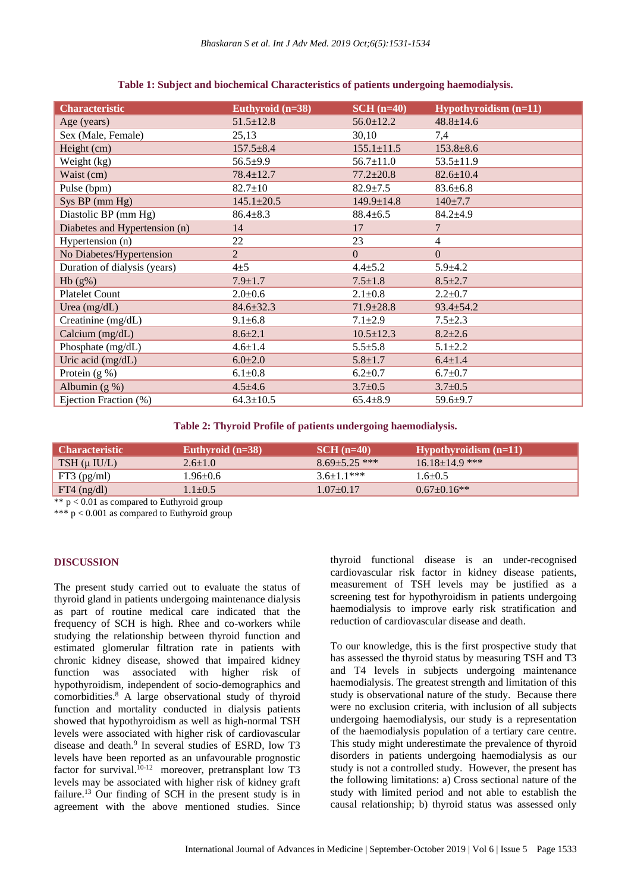| <b>Characteristic</b>         | Euthyroid (n=38) | $\overline{\text{SCH (n=40)}}$ | Hypothyroidism (n=11)    |
|-------------------------------|------------------|--------------------------------|--------------------------|
| Age (years)                   | $51.5 \pm 12.8$  | $56.0 \pm 12.2$                | $48.8 \pm 14.6$          |
| Sex (Male, Female)            | 25,13            | 30,10                          | 7,4                      |
| Height (cm)                   | $157.5 \pm 8.4$  | $155.1 \pm 11.5$               | $153.8 \pm 8.6$          |
| Weight (kg)                   | $56.5 \pm 9.9$   | $56.7 \pm 11.0$                | $53.5 \pm 11.9$          |
| Waist (cm)                    | $78.4 \pm 12.7$  | $77.2 \pm 20.8$                | $82.6 \pm 10.4$          |
| Pulse (bpm)                   | $82.7 \pm 10$    | $82.9 \pm 7.5$                 | $83.6 \pm 6.8$           |
| Sys BP (mm Hg)                | $145.1 \pm 20.5$ | $149.9 \pm 14.8$               | $140 \pm 7.7$            |
| Diastolic BP (mm Hg)          | $86.4 \pm 8.3$   | $88.4 \pm 6.5$                 | $84.2 \pm 4.9$           |
| Diabetes and Hypertension (n) | 14               | 17                             | $\overline{7}$           |
| Hypertension (n)              | 22               | 23                             | $\overline{\mathcal{L}}$ |
| No Diabetes/Hypertension      | $\overline{2}$   | $\overline{0}$                 | $\mathbf{0}$             |
| Duration of dialysis (years)  | $4\pm 5$         | $4.4 + 5.2$                    | $5.9 \pm 4.2$            |
| $Hb(g\%)$                     | $7.9 \pm 1.7$    | $7.5 \pm 1.8$                  | $8.5 \pm 2.7$            |
| <b>Platelet Count</b>         | $2.0 \pm 0.6$    | $2.1 \pm 0.8$                  | $2.2 \pm 0.7$            |
| Urea $(mg/dL)$                | $84.6 \pm 32.3$  | $71.9 \pm 28.8$                | $93.4 \pm 54.2$          |
| Creatinine (mg/dL)            | $9.1 \pm 6.8$    | $7.1 + 2.9$                    | $7.5 \pm 2.3$            |
| Calcium (mg/dL)               | $8.6 \pm 2.1$    | $10.5 \pm 12.3$                | $8.2 \pm 2.6$            |
| Phosphate (mg/dL)             | $4.6 \pm 1.4$    | $5.5 + 5.8$                    | $5.1 + 2.2$              |
| Uric acid (mg/dL)             | $6.0 \pm 2.0$    | $5.8 \pm 1.7$                  | $6.4 \pm 1.4$            |
| Protein (g %)                 | $6.1 \pm 0.8$    | $6.2 \pm 0.7$                  | $6.7 \pm 0.7$            |
| Albumin $(g %)$               | $4.5 + 4.6$      | $3.7 \pm 0.5$                  | $3.7 \pm 0.5$            |
| Ejection Fraction (%)         | $64.3 \pm 10.5$  | $65.4 \pm 8.9$                 | $59.6 + 9.7$             |

#### **Table 1: Subject and biochemical Characteristics of patients undergoing haemodialysis.**

**Table 2: Thyroid Profile of patients undergoing haemodialysis.**

| <b>Characteristic</b> | Euthyroid $(n=38)$ | $\rm SCH$ (n=40)  | $Hypothyroidism (n=11)$ |
|-----------------------|--------------------|-------------------|-------------------------|
| $TSH(\mu IUL)$        | $2.6 \pm 1.0$      | $8.69 + 5.25$ *** | $16.18 \pm 14.9$ ***    |
| $FT3$ (pg/ml)         | .96 $\pm$ 0.6      | $3.6 \pm 1.1$ *** | $1.6 + 0.5$             |
| $FT4$ (ng/dl)         | $.1 \pm 0.5$       | 1.07(0.17)        | $0.67 \pm 0.16$ **      |

 $** p < 0.01$  as compared to Euthyroid group

\*\*\* p < 0.001 as compared to Euthyroid group

#### **DISCUSSION**

The present study carried out to evaluate the status of thyroid gland in patients undergoing maintenance dialysis as part of routine medical care indicated that the frequency of SCH is high. Rhee and co-workers while studying the relationship between thyroid function and estimated glomerular filtration rate in patients with chronic kidney disease, showed that impaired kidney function was associated with higher risk of hypothyroidism, independent of socio-demographics and comorbidities.<sup>8</sup> A large observational study of thyroid function and mortality conducted in dialysis patients showed that hypothyroidism as well as high-normal TSH levels were associated with higher risk of cardiovascular disease and death.<sup>9</sup> In several studies of ESRD, low T3 levels have been reported as an unfavourable prognostic factor for survival.<sup>10-12</sup> moreover, pretransplant low T3 levels may be associated with higher risk of kidney graft failure.<sup>13</sup> Our finding of SCH in the present study is in agreement with the above mentioned studies. Since thyroid functional disease is an under-recognised cardiovascular risk factor in kidney disease patients, measurement of TSH levels may be justified as a screening test for hypothyroidism in patients undergoing haemodialysis to improve early risk stratification and reduction of cardiovascular disease and death.

To our knowledge, this is the first prospective study that has assessed the thyroid status by measuring TSH and T3 and T4 levels in subjects undergoing maintenance haemodialysis. The greatest strength and limitation of this study is observational nature of the study. Because there were no exclusion criteria, with inclusion of all subjects undergoing haemodialysis, our study is a representation of the haemodialysis population of a tertiary care centre. This study might underestimate the prevalence of thyroid disorders in patients undergoing haemodialysis as our study is not a controlled study. However, the present has the following limitations: a) Cross sectional nature of the study with limited period and not able to establish the causal relationship; b) thyroid status was assessed only